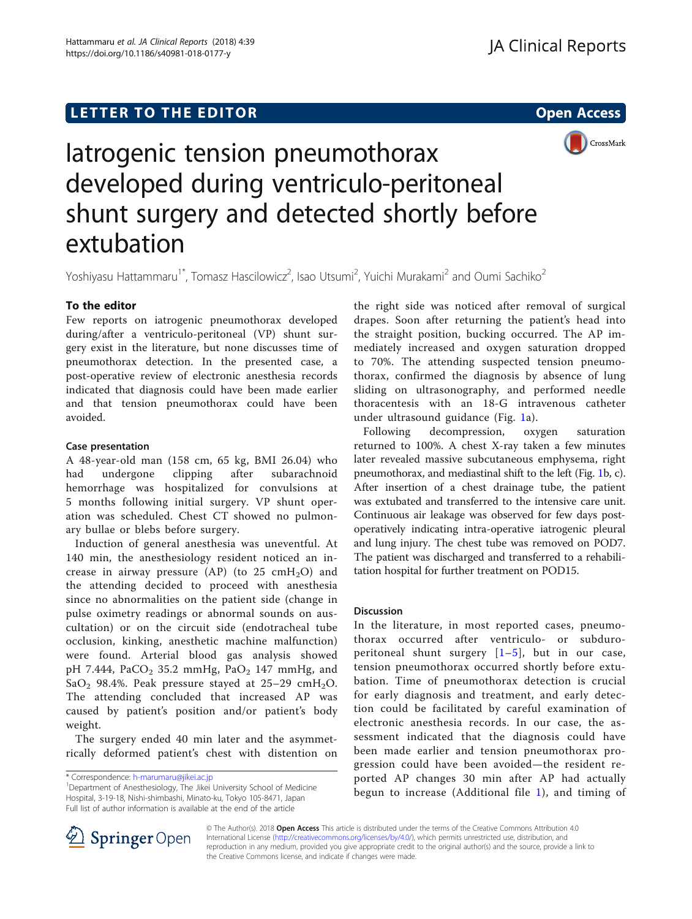## LETTER TO THE EDITOR **CONSIDERING A CONSIDERATION**



# Iatrogenic tension pneumothorax developed during ventriculo-peritoneal shunt surgery and detected shortly before extubation

Yoshiyasu Hattammaru<sup>1\*</sup>, Tomasz Hascilowicz<sup>2</sup>, Isao Utsumi<sup>2</sup>, Yuichi Murakami<sup>2</sup> and Oumi Sachiko<sup>2</sup>

## To the editor

Few reports on iatrogenic pneumothorax developed during/after a ventriculo-peritoneal (VP) shunt surgery exist in the literature, but none discusses time of pneumothorax detection. In the presented case, a post-operative review of electronic anesthesia records indicated that diagnosis could have been made earlier and that tension pneumothorax could have been avoided.

## Case presentation

A 48-year-old man (158 cm, 65 kg, BMI 26.04) who had undergone clipping after subarachnoid hemorrhage was hospitalized for convulsions at 5 months following initial surgery. VP shunt operation was scheduled. Chest CT showed no pulmonary bullae or blebs before surgery.

Induction of general anesthesia was uneventful. At 140 min, the anesthesiology resident noticed an increase in airway pressure (AP) (to 25 cmH<sub>2</sub>O) and the attending decided to proceed with anesthesia since no abnormalities on the patient side (change in pulse oximetry readings or abnormal sounds on auscultation) or on the circuit side (endotracheal tube occlusion, kinking, anesthetic machine malfunction) were found. Arterial blood gas analysis showed pH 7.444, PaCO<sub>2</sub> 35.2 mmHg, PaO<sub>2</sub> 147 mmHg, and SaO<sub>2</sub> 98.4%. Peak pressure stayed at 25-29 cmH<sub>2</sub>O. The attending concluded that increased AP was caused by patient's position and/or patient's body weight.

The surgery ended 40 min later and the asymmetrically deformed patient's chest with distention on the right side was noticed after removal of surgical drapes. Soon after returning the patient's head into the straight position, bucking occurred. The AP immediately increased and oxygen saturation dropped to 70%. The attending suspected tension pneumothorax, confirmed the diagnosis by absence of lung sliding on ultrasonography, and performed needle thoracentesis with an 18-G intravenous catheter under ultrasound guidance (Fig. [1](#page-1-0)a).

Following decompression, oxygen saturation returned to 100%. A chest X-ray taken a few minutes later revealed massive subcutaneous emphysema, right pneumothorax, and mediastinal shift to the left (Fig. [1](#page-1-0)b, c). After insertion of a chest drainage tube, the patient was extubated and transferred to the intensive care unit. Continuous air leakage was observed for few days postoperatively indicating intra-operative iatrogenic pleural and lung injury. The chest tube was removed on POD7. The patient was discharged and transferred to a rehabilitation hospital for further treatment on POD15.

## Discussion

In the literature, in most reported cases, pneumothorax occurred after ventriculo- or subduroperitoneal shunt surgery  $[1-5]$  $[1-5]$  $[1-5]$  $[1-5]$  $[1-5]$ , but in our case, tension pneumothorax occurred shortly before extubation. Time of pneumothorax detection is crucial for early diagnosis and treatment, and early detection could be facilitated by careful examination of electronic anesthesia records. In our case, the assessment indicated that the diagnosis could have been made earlier and tension pneumothorax progression could have been avoided—the resident reported AP changes 30 min after AP had actually begun to increase (Additional file [1](#page-1-0)), and timing of



© The Author(s). 2018 Open Access This article is distributed under the terms of the Creative Commons Attribution 4.0 International License ([http://creativecommons.org/licenses/by/4.0/\)](http://creativecommons.org/licenses/by/4.0/), which permits unrestricted use, distribution, and reproduction in any medium, provided you give appropriate credit to the original author(s) and the source, provide a link to the Creative Commons license, and indicate if changes were made.

<sup>\*</sup> Correspondence: [h-marumaru@jikei.ac.jp](mailto:h-marumaru@jikei.ac.jp) <sup>1</sup>

<sup>&</sup>lt;sup>1</sup>Department of Anesthesiology, The Jikei University School of Medicine Hospital, 3-19-18, Nishi-shimbashi, Minato-ku, Tokyo 105-8471, Japan Full list of author information is available at the end of the article